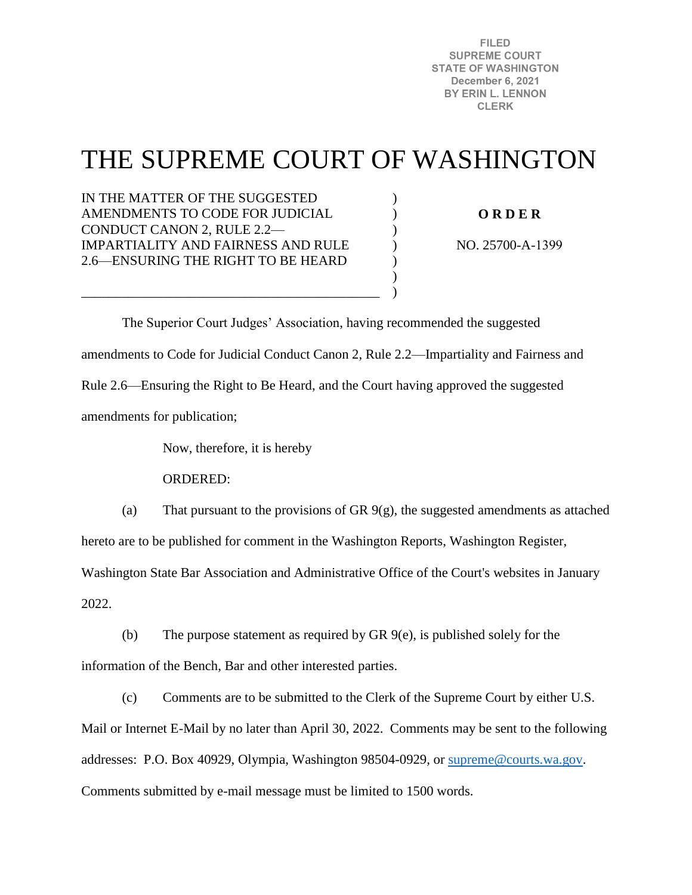**FILED SUPREME COURT STATE OF WASHINGTON December 6, 2021** BY ERIN L. LENNON **CLERK** 

# THE SUPREME COURT OF WASHINGTON

)  $\mathcal{L}$ )  $\lambda$ ) ) )

IN THE MATTER OF THE SUGGESTED AMENDMENTS TO CODE FOR JUDICIAL CONDUCT CANON 2, RULE 2.2— IMPARTIALITY AND FAIRNESS AND RULE 2.6—ENSURING THE RIGHT TO BE HEARD

\_\_\_\_\_\_\_\_\_\_\_\_\_\_\_\_\_\_\_\_\_\_\_\_\_\_\_\_\_\_\_\_\_\_\_\_\_\_\_\_\_\_\_\_

**O R D E R** 

NO. 25700-A-1399

 The Superior Court Judges' Association, having recommended the suggested amendments to Code for Judicial Conduct Canon 2, Rule 2.2—Impartiality and Fairness and Rule 2.6—Ensuring the Right to Be Heard, and the Court having approved the suggested amendments for publication;

Now, therefore, it is hereby

ORDERED:

(a) That pursuant to the provisions of GR  $9(g)$ , the suggested amendments as attached hereto are to be published for comment in the Washington Reports, Washington Register,

Washington State Bar Association and Administrative Office of the Court's websites in January 2022.

(b) The purpose statement as required by GR 9(e), is published solely for the information of the Bench, Bar and other interested parties.

(c) Comments are to be submitted to the Clerk of the Supreme Court by either U.S. Mail or Internet E-Mail by no later than April 30, 2022. Comments may be sent to the following addresses: P.O. Box 40929, Olympia, Washington 98504-0929, or [supreme@courts.wa.gov.](mailto:supreme@courts.wa.gov) Comments submitted by e-mail message must be limited to 1500 words.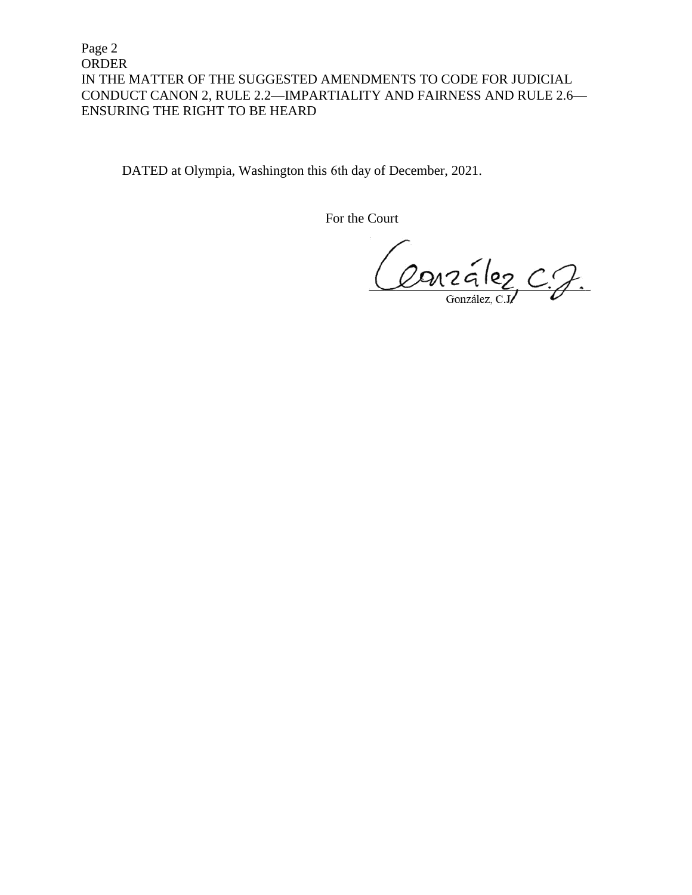Page 2 ORDER IN THE MATTER OF THE SUGGESTED AMENDMENTS TO CODE FOR JUDICIAL CONDUCT CANON 2, RULE 2.2—IMPARTIALITY AND FAIRNESS AND RULE 2.6— ENSURING THE RIGHT TO BE HEARD

DATED at Olympia, Washington this 6th day of December, 2021.

For the Court

Conzélez C.J.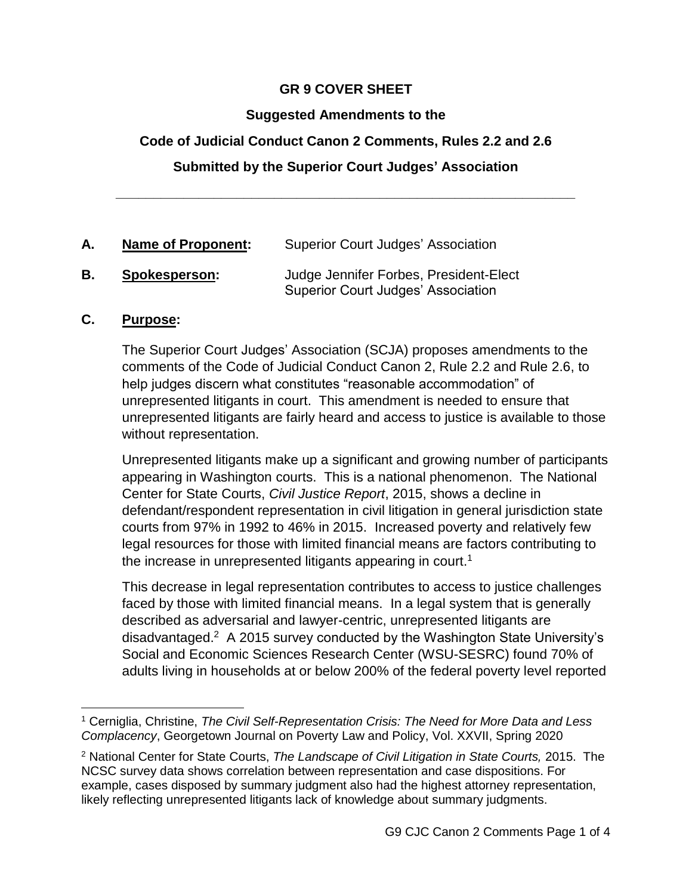# **GR 9 COVER SHEET**

# **Suggested Amendments to the**

# **Code of Judicial Conduct Canon 2 Comments, Rules 2.2 and 2.6**

# **Submitted by the Superior Court Judges' Association**

**\_\_\_\_\_\_\_\_\_\_\_\_\_\_\_\_\_\_\_\_\_\_\_\_\_\_\_\_\_\_\_\_\_\_\_\_\_\_\_\_\_\_\_\_\_\_\_\_\_\_\_\_\_\_\_\_\_\_\_\_\_**

| <b>Name of Proponent:</b> | <b>Superior Court Judges' Association</b> |
|---------------------------|-------------------------------------------|
| Snokesnerson:             | Judge Jennifer Forbes, President-Fle      |

#### **B. Spokesperson:** Judge Jennifer Forbes, President-Elect Superior Court Judges' Association

#### **C. Purpose:**

The Superior Court Judges' Association (SCJA) proposes amendments to the comments of the Code of Judicial Conduct Canon 2, Rule 2.2 and Rule 2.6, to help judges discern what constitutes "reasonable accommodation" of unrepresented litigants in court. This amendment is needed to ensure that unrepresented litigants are fairly heard and access to justice is available to those without representation.

Unrepresented litigants make up a significant and growing number of participants appearing in Washington courts. This is a national phenomenon. The National Center for State Courts, *Civil Justice Report*, 2015, shows a decline in defendant/respondent representation in civil litigation in general jurisdiction state courts from 97% in 1992 to 46% in 2015. Increased poverty and relatively few legal resources for those with limited financial means are factors contributing to the increase in unrepresented litigants appearing in court.<sup>1</sup>

This decrease in legal representation contributes to access to justice challenges faced by those with limited financial means. In a legal system that is generally described as adversarial and lawyer-centric, unrepresented litigants are disadvantaged.<sup>2</sup> A 2015 survey conducted by the Washington State University's Social and Economic Sciences Research Center (WSU-SESRC) found 70% of adults living in households at or below 200% of the federal poverty level reported

 $\overline{a}$ <sup>1</sup> Cerniglia, Christine, *The Civil Self-Representation Crisis: The Need for More Data and Less Complacency*, Georgetown Journal on Poverty Law and Policy, Vol. XXVII, Spring 2020

<sup>2</sup> National Center for State Courts, *The Landscape of Civil Litigation in State Courts,* 2015. The NCSC survey data shows correlation between representation and case dispositions. For example, cases disposed by summary judgment also had the highest attorney representation, likely reflecting unrepresented litigants lack of knowledge about summary judgments.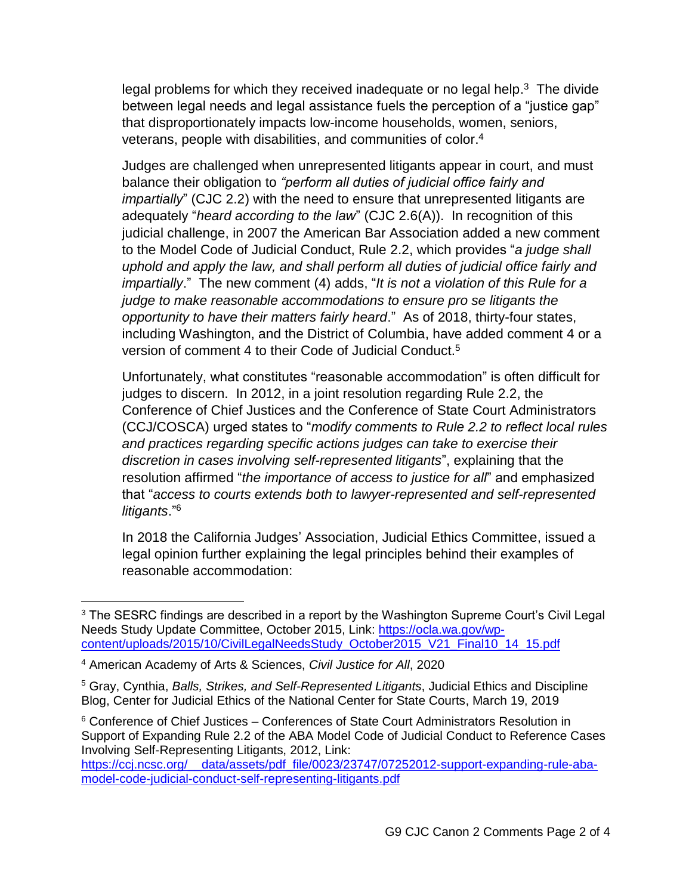legal problems for which they received inadequate or no legal help.<sup>3</sup> The divide between legal needs and legal assistance fuels the perception of a "justice gap" that disproportionately impacts low-income households, women, seniors, veterans, people with disabilities, and communities of color. 4

Judges are challenged when unrepresented litigants appear in court, and must balance their obligation to *"perform all duties of judicial office fairly and impartially*" (CJC 2.2) with the need to ensure that unrepresented litigants are adequately "*heard according to the law*" (CJC 2.6(A)). In recognition of this judicial challenge, in 2007 the American Bar Association added a new comment to the Model Code of Judicial Conduct, Rule 2.2, which provides "*a judge shall uphold and apply the law, and shall perform all duties of judicial office fairly and impartially*." The new comment (4) adds, "*It is not a violation of this Rule for a judge to make reasonable accommodations to ensure pro se litigants the opportunity to have their matters fairly heard*." As of 2018, thirty-four states, including Washington, and the District of Columbia, have added comment 4 or a version of comment 4 to their Code of Judicial Conduct.<sup>5</sup>

Unfortunately, what constitutes "reasonable accommodation" is often difficult for judges to discern. In 2012, in a joint resolution regarding Rule 2.2, the Conference of Chief Justices and the Conference of State Court Administrators (CCJ/COSCA) urged states to "*modify comments to Rule 2.2 to reflect local rules and practices regarding specific actions judges can take to exercise their discretion in cases involving self-represented litigants*", explaining that the resolution affirmed "*the importance of access to justice for all*" and emphasized that "*access to courts extends both to lawyer-represented and self-represented litigants*."<sup>6</sup>

In 2018 the California Judges' Association, Judicial Ethics Committee, issued a legal opinion further explaining the legal principles behind their examples of reasonable accommodation:

 $\overline{a}$ 

<sup>&</sup>lt;sup>3</sup> The SESRC findings are described in a report by the Washington Supreme Court's Civil Legal Needs Study Update Committee, October 2015, Link: [https://ocla.wa.gov/wp](https://ocla.wa.gov/wp-content/uploads/2015/10/CivilLegalNeedsStudy_October2015_V21_Final10_14_15.pdf)[content/uploads/2015/10/CivilLegalNeedsStudy\\_October2015\\_V21\\_Final10\\_14\\_15.pdf](https://ocla.wa.gov/wp-content/uploads/2015/10/CivilLegalNeedsStudy_October2015_V21_Final10_14_15.pdf)

<sup>4</sup> American Academy of Arts & Sciences, *Civil Justice for All*, 2020

<sup>5</sup> Gray, Cynthia, *Balls, Strikes, and Self-Represented Litigants*, Judicial Ethics and Discipline Blog, Center for Judicial Ethics of the National Center for State Courts, March 19, 2019

<sup>&</sup>lt;sup>6</sup> Conference of Chief Justices – Conferences of State Court Administrators Resolution in Support of Expanding Rule 2.2 of the ABA Model Code of Judicial Conduct to Reference Cases Involving Self-Representing Litigants, 2012, Link:

[https://ccj.ncsc.org/\\_\\_data/assets/pdf\\_file/0023/23747/07252012-support-expanding-rule-aba](https://ccj.ncsc.org/__data/assets/pdf_file/0023/23747/07252012-support-expanding-rule-aba-model-code-judicial-conduct-self-representing-litigants.pdf)[model-code-judicial-conduct-self-representing-litigants.pdf](https://ccj.ncsc.org/__data/assets/pdf_file/0023/23747/07252012-support-expanding-rule-aba-model-code-judicial-conduct-self-representing-litigants.pdf)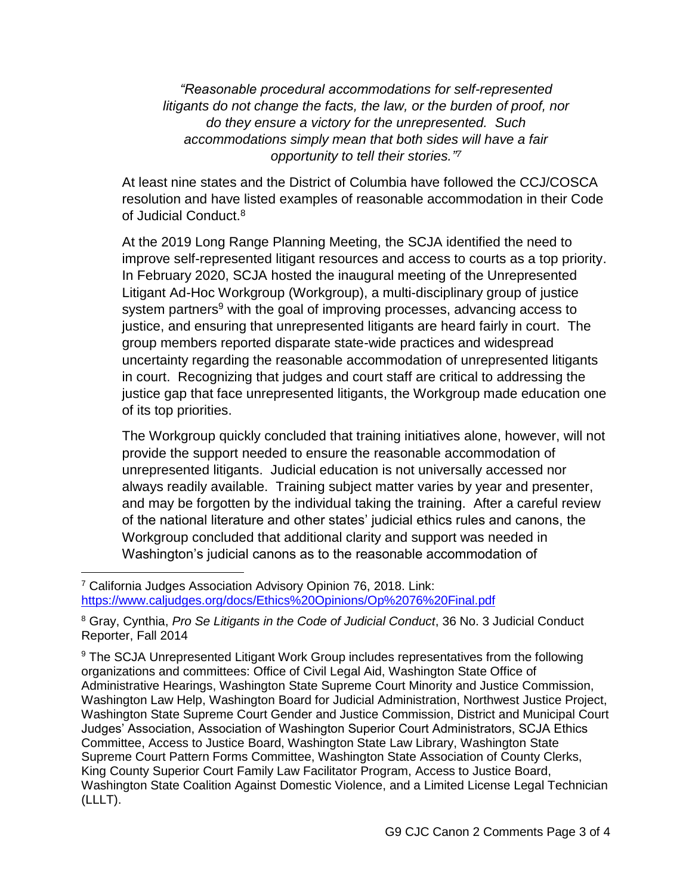*"Reasonable procedural accommodations for self-represented litigants do not change the facts, the law, or the burden of proof, nor do they ensure a victory for the unrepresented. Such accommodations simply mean that both sides will have a fair opportunity to tell their stories." 7*

At least nine states and the District of Columbia have followed the CCJ/COSCA resolution and have listed examples of reasonable accommodation in their Code of Judicial Conduct.<sup>8</sup>

At the 2019 Long Range Planning Meeting, the SCJA identified the need to improve self-represented litigant resources and access to courts as a top priority. In February 2020, SCJA hosted the inaugural meeting of the Unrepresented Litigant Ad-Hoc Workgroup (Workgroup), a multi-disciplinary group of justice system partners<sup>9</sup> with the goal of improving processes, advancing access to justice, and ensuring that unrepresented litigants are heard fairly in court. The group members reported disparate state-wide practices and widespread uncertainty regarding the reasonable accommodation of unrepresented litigants in court. Recognizing that judges and court staff are critical to addressing the justice gap that face unrepresented litigants, the Workgroup made education one of its top priorities.

The Workgroup quickly concluded that training initiatives alone, however, will not provide the support needed to ensure the reasonable accommodation of unrepresented litigants. Judicial education is not universally accessed nor always readily available. Training subject matter varies by year and presenter, and may be forgotten by the individual taking the training. After a careful review of the national literature and other states' judicial ethics rules and canons, the Workgroup concluded that additional clarity and support was needed in Washington's judicial canons as to the reasonable accommodation of

 $\overline{a}$ 

<sup>7</sup> California Judges Association Advisory Opinion 76, 2018. Link: <https://www.caljudges.org/docs/Ethics%20Opinions/Op%2076%20Final.pdf>

<sup>8</sup> Gray, Cynthia, *Pro Se Litigants in the Code of Judicial Conduct*, 36 No. 3 Judicial Conduct Reporter, Fall 2014

<sup>9</sup> The SCJA Unrepresented Litigant Work Group includes representatives from the following organizations and committees: Office of Civil Legal Aid, Washington State Office of Administrative Hearings, Washington State Supreme Court Minority and Justice Commission, Washington Law Help, Washington Board for Judicial Administration, Northwest Justice Project, Washington State Supreme Court Gender and Justice Commission, District and Municipal Court Judges' Association, Association of Washington Superior Court Administrators, SCJA Ethics Committee, Access to Justice Board, Washington State Law Library, Washington State Supreme Court Pattern Forms Committee, Washington State Association of County Clerks, King County Superior Court Family Law Facilitator Program, Access to Justice Board, Washington State Coalition Against Domestic Violence, and a Limited License Legal Technician (LLLT).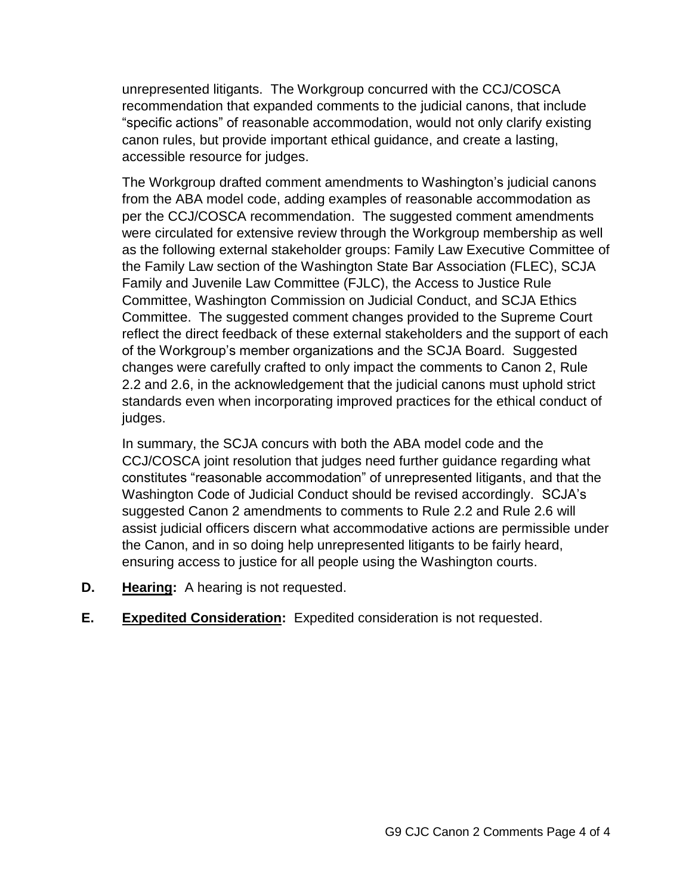unrepresented litigants. The Workgroup concurred with the CCJ/COSCA recommendation that expanded comments to the judicial canons, that include "specific actions" of reasonable accommodation, would not only clarify existing canon rules, but provide important ethical guidance, and create a lasting, accessible resource for judges.

The Workgroup drafted comment amendments to Washington's judicial canons from the ABA model code, adding examples of reasonable accommodation as per the CCJ/COSCA recommendation. The suggested comment amendments were circulated for extensive review through the Workgroup membership as well as the following external stakeholder groups: Family Law Executive Committee of the Family Law section of the Washington State Bar Association (FLEC), SCJA Family and Juvenile Law Committee (FJLC), the Access to Justice Rule Committee, Washington Commission on Judicial Conduct, and SCJA Ethics Committee. The suggested comment changes provided to the Supreme Court reflect the direct feedback of these external stakeholders and the support of each of the Workgroup's member organizations and the SCJA Board. Suggested changes were carefully crafted to only impact the comments to Canon 2, Rule 2.2 and 2.6, in the acknowledgement that the judicial canons must uphold strict standards even when incorporating improved practices for the ethical conduct of judges.

In summary, the SCJA concurs with both the ABA model code and the CCJ/COSCA joint resolution that judges need further guidance regarding what constitutes "reasonable accommodation" of unrepresented litigants, and that the Washington Code of Judicial Conduct should be revised accordingly. SCJA's suggested Canon 2 amendments to comments to Rule 2.2 and Rule 2.6 will assist judicial officers discern what accommodative actions are permissible under the Canon, and in so doing help unrepresented litigants to be fairly heard, ensuring access to justice for all people using the Washington courts.

- **D. Hearing:** A hearing is not requested.
- **E. Expedited Consideration:** Expedited consideration is not requested.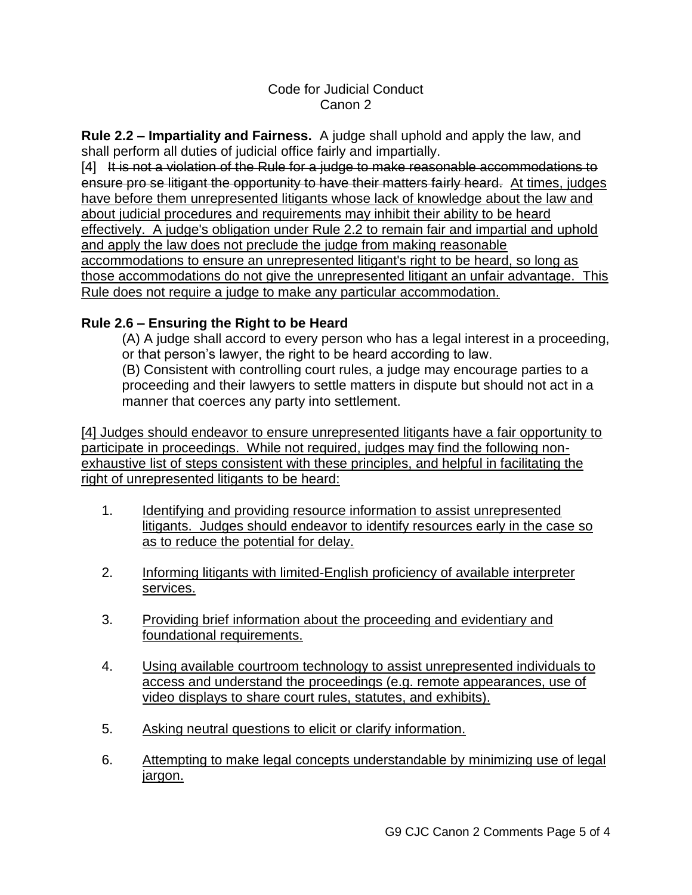### Code for Judicial Conduct Canon 2

**Rule 2.2 – Impartiality and Fairness.** A judge shall uphold and apply the law, and shall perform all duties of judicial office fairly and impartially.

[4] It is not a violation of the Rule for a judge to make reasonable accommodations to ensure pro se litigant the opportunity to have their matters fairly heard. At times, judges have before them unrepresented litigants whose lack of knowledge about the law and about judicial procedures and requirements may inhibit their ability to be heard effectively. A judge's obligation under Rule 2.2 to remain fair and impartial and uphold and apply the law does not preclude the judge from making reasonable accommodations to ensure an unrepresented litigant's right to be heard, so long as those accommodations do not give the unrepresented litigant an unfair advantage. This Rule does not require a judge to make any particular accommodation.

# **Rule 2.6 – Ensuring the Right to be Heard**

(A) A judge shall accord to every person who has a legal interest in a proceeding, or that person's lawyer, the right to be heard according to law.

(B) Consistent with controlling court rules, a judge may encourage parties to a proceeding and their lawyers to settle matters in dispute but should not act in a manner that coerces any party into settlement.

[4] Judges should endeavor to ensure unrepresented litigants have a fair opportunity to participate in proceedings. While not required, judges may find the following nonexhaustive list of steps consistent with these principles, and helpful in facilitating the right of unrepresented litigants to be heard:

- 1. Identifying and providing resource information to assist unrepresented litigants. Judges should endeavor to identify resources early in the case so as to reduce the potential for delay.
- 2. Informing litigants with limited-English proficiency of available interpreter services.
- 3. Providing brief information about the proceeding and evidentiary and foundational requirements.
- 4. Using available courtroom technology to assist unrepresented individuals to access and understand the proceedings (e.g. remote appearances, use of video displays to share court rules, statutes, and exhibits).
- 5. Asking neutral questions to elicit or clarify information.
- 6. Attempting to make legal concepts understandable by minimizing use of legal jargon.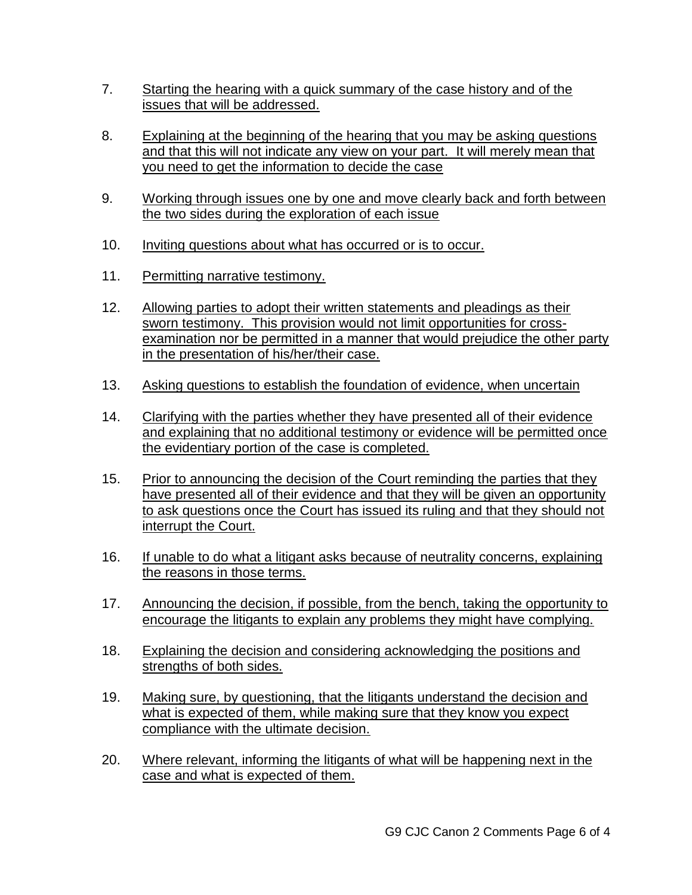- 7. Starting the hearing with a quick summary of the case history and of the issues that will be addressed.
- 8. Explaining at the beginning of the hearing that you may be asking questions and that this will not indicate any view on your part. It will merely mean that you need to get the information to decide the case
- 9. Working through issues one by one and move clearly back and forth between the two sides during the exploration of each issue
- 10. Inviting questions about what has occurred or is to occur.
- 11. Permitting narrative testimony.
- 12. Allowing parties to adopt their written statements and pleadings as their sworn testimony. This provision would not limit opportunities for crossexamination nor be permitted in a manner that would prejudice the other party in the presentation of his/her/their case.
- 13. Asking questions to establish the foundation of evidence, when uncertain
- 14. Clarifying with the parties whether they have presented all of their evidence and explaining that no additional testimony or evidence will be permitted once the evidentiary portion of the case is completed.
- 15. Prior to announcing the decision of the Court reminding the parties that they have presented all of their evidence and that they will be given an opportunity to ask questions once the Court has issued its ruling and that they should not interrupt the Court.
- 16. If unable to do what a litigant asks because of neutrality concerns, explaining the reasons in those terms.
- 17. Announcing the decision, if possible, from the bench, taking the opportunity to encourage the litigants to explain any problems they might have complying.
- 18. Explaining the decision and considering acknowledging the positions and strengths of both sides.
- 19. Making sure, by questioning, that the litigants understand the decision and what is expected of them, while making sure that they know you expect compliance with the ultimate decision.
- 20. Where relevant, informing the litigants of what will be happening next in the case and what is expected of them.